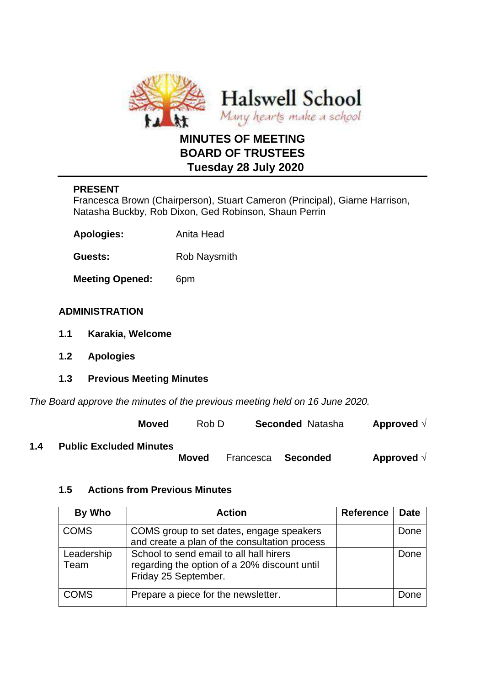

# **MINUTES OF MEETING BOARD OF TRUSTEES Tuesday 28 July 2020**

# **PRESENT**

Francesca Brown (Chairperson), Stuart Cameron (Principal), Giarne Harrison, Natasha Buckby, Rob Dixon, Ged Robinson, Shaun Perrin

| <b>Apologies:</b> | Anita Head |
|-------------------|------------|
|-------------------|------------|

Guests: Rob Naysmith

**Meeting Opened:** 6pm

# **ADMINISTRATION**

- **1.1 Karakia, Welcome**
- **1.2 Apologies**
- **1.3 Previous Meeting Minutes**

*The Board approve the minutes of the previous meeting held on 16 June 2020.*

**Moved** Rob D **Seconded** Natasha **Approved** √

## **1.4 Public Excluded Minutes**

 **Moved** Francesca **Seconded Approved** √

# **1.5 Actions from Previous Minutes**

| By Who             | <b>Action</b>                                                                                                   | <b>Reference</b> | <b>Date</b> |
|--------------------|-----------------------------------------------------------------------------------------------------------------|------------------|-------------|
| <b>COMS</b>        | COMS group to set dates, engage speakers<br>and create a plan of the consultation process                       |                  | Done        |
| Leadership<br>Team | School to send email to all hall hirers<br>regarding the option of a 20% discount until<br>Friday 25 September. |                  | Done        |
| <b>COMS</b>        | Prepare a piece for the newsletter.                                                                             |                  | Done        |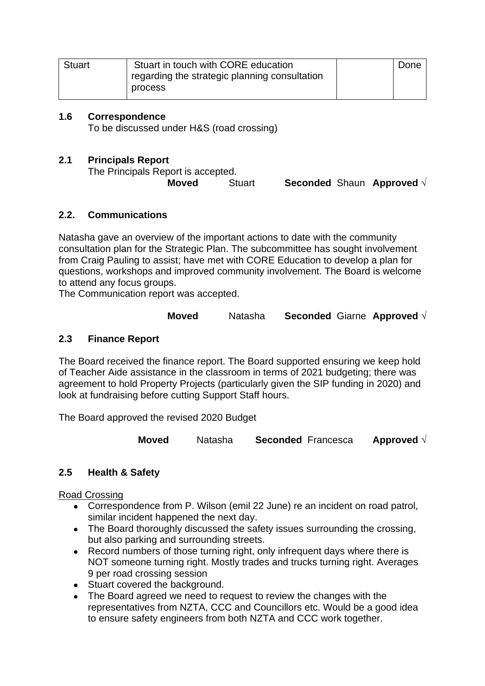| <b>Stuart</b> | Stuart in touch with CORE education             | Done |
|---------------|-------------------------------------------------|------|
|               | I regarding the strategic planning consultation |      |
|               | process                                         |      |

## **1.6 Correspondence**

To be discussed under H&S (road crossing)

## **2.1 Principals Report**

The Principals Report is accepted.

**Moved** Stuart **Seconded** Shaun **Approved** √

## **2.2. Communications**

Natasha gave an overview of the important actions to date with the community consultation plan for the Strategic Plan. The subcommittee has sought involvement from Craig Pauling to assist; have met with CORE Education to develop a plan for questions, workshops and improved community involvement. The Board is welcome to attend any focus groups.

The Communication report was accepted.

**Moved** Natasha **Seconded** Giarne **Approved** √

# **2.3 Finance Report**

The Board received the finance report. The Board supported ensuring we keep hold of Teacher Aide assistance in the classroom in terms of 2021 budgeting; there was agreement to hold Property Projects (particularly given the SIP funding in 2020) and look at fundraising before cutting Support Staff hours.

The Board approved the revised 2020 Budget

**Moved** Natasha **Seconded** Francesca **Approved** √

# **2.5 Health & Safety**

Road Crossing

- Correspondence from P. Wilson (emil 22 June) re an incident on road patrol, similar incident happened the next day.
- The Board thoroughly discussed the safety issues surrounding the crossing, but also parking and surrounding streets.
- Record numbers of those turning right, only infrequent days where there is NOT someone turning right. Mostly trades and trucks turning right. Averages 9 per road crossing session
- Stuart covered the background.
- The Board agreed we need to request to review the changes with the representatives from NZTA, CCC and Councillors etc. Would be a good idea to ensure safety engineers from both NZTA and CCC work together.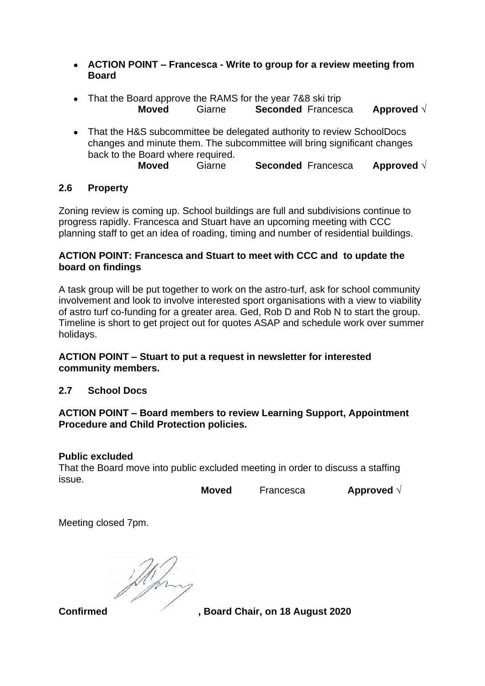- **ACTION POINT – Francesca - Write to group for a review meeting from Board**
- That the Board approve the RAMS for the year 7&8 ski trip **Moved** Giarne **Seconded** Francesca **Approved** √
- That the H&S subcommittee be delegated authority to review SchoolDocs changes and minute them. The subcommittee will bring significant changes back to the Board where required. **Moved** Giarne **Seconded** Francesca **Approved** √

# **2.6 Property**

Zoning review is coming up. School buildings are full and subdivisions continue to progress rapidly. Francesca and Stuart have an upcoming meeting with CCC planning staff to get an idea of roading, timing and number of residential buildings.

## **ACTION POINT: Francesca and Stuart to meet with CCC and to update the board on findings**

A task group will be put together to work on the astro-turf, ask for school community involvement and look to involve interested sport organisations with a view to viability of astro turf co-funding for a greater area. Ged, Rob D and Rob N to start the group. Timeline is short to get project out for quotes ASAP and schedule work over summer holidays.

## **ACTION POINT – Stuart to put a request in newsletter for interested community members.**

# **2.7 School Docs**

## **ACTION POINT – Board members to review Learning Support, Appointment Procedure and Child Protection policies.**

## **Public excluded**

That the Board move into public excluded meeting in order to discuss a staffing issue.

**Moved** Francesca **Approved** √

Meeting closed 7pm.

**Confirmed , Board Chair, on 18 August 2020**